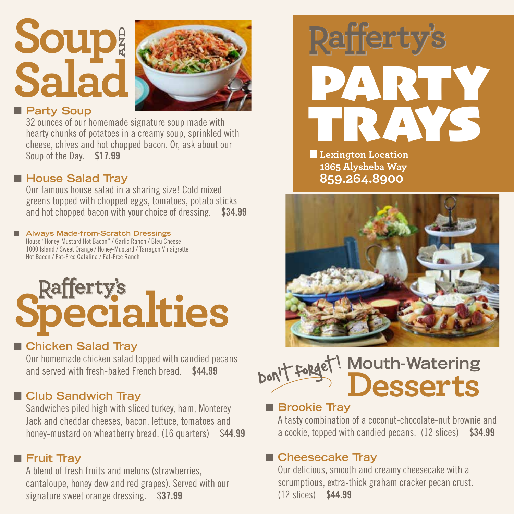## **Soup Salad AND**



#### **n** Party Soup

32 ounces of our homemade signature soup made with hearty chunks of potatoes in a creamy soup, sprinkled with cheese, chives and hot chopped bacon. Or, ask about our Soup of the Day. \$17.99

#### ■ House Salad Tray

Our famous house salad in a sharing size! Cold mixed greens topped with chopped eggs, tomatoes, potato sticks and hot chopped bacon with your choice of dressing. \$34.99

#### ■ Always Made-from-Scratch Dressings House "Honey-Mustard Hot Bacon" / Garlic Ranch / Bleu Cheese

1000 Island / Sweet Orange / Honey-Mustard / Tarragon Vinaigrette Hot Bacon / Fat-Free Catalina / Fat-Free Ranch

# **Rafferty's**<br>**Pecialties**

#### ■ Chicken Salad Tray

Our homemade chicken salad topped with candied pecans and served with fresh-baked French bread. \$44.99

#### **n** Club Sandwich Tray

Sandwiches piled high with sliced turkey, ham, Monterey Jack and cheddar cheeses, bacon, lettuce, tomatoes and honey-mustard on wheatberry bread. (16 quarters) \$44.99

#### **n** Fruit Tray

A blend of fresh fruits and melons (strawberries, cantaloupe, honey dew and red grapes). Served with our signature sweet orange dressing. \$37.99



**Lexington Location 1865 Alysheba Way 859.264.8900**



#### **Mouth-Watering Desserts** Don't forget!  $\overline{\phantom{a}}$

#### **n** Brookie Tray

A tasty combination of a coconut-chocolate-nut brownie and a cookie, topped with candied pecans. (12 slices) \$34.99

#### ■ Cheesecake Tray

Our delicious, smooth and creamy cheesecake with a scrumptious, extra-thick graham cracker pecan crust. (12 slices) \$44.99